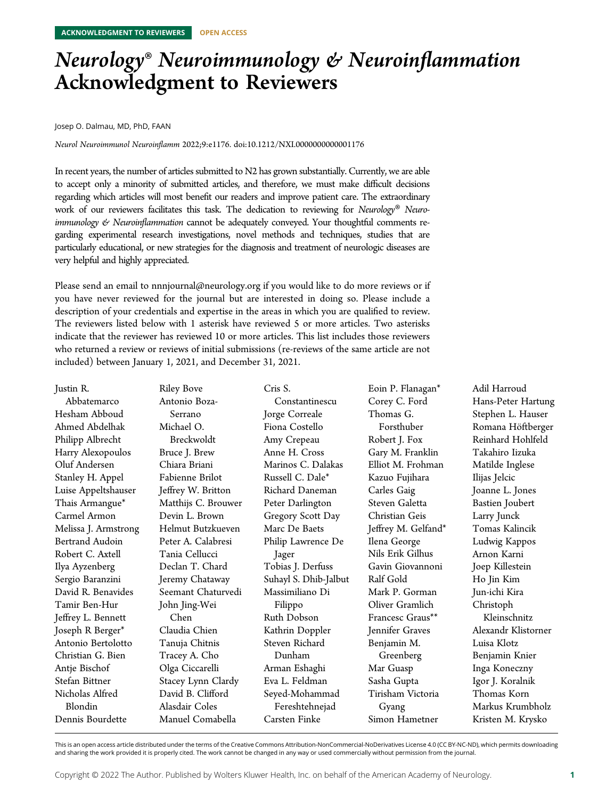## Neurology® Neuroimmunology & Neuroinflammation Acknowledgment to Reviewers

Josep O. Dalmau, MD, PhD, FAAN

Neurol Neuroimmunol Neuroinflamm 2022;9:e1176. doi[:10.1212/NXI.0000000000001176](http://dx.doi.org/10.1212/NXI.0000000000001176)

In recent years, the number of articles submitted to N2 has grown substantially. Currently, we are able to accept only a minority of submitted articles, and therefore, we must make difficult decisions regarding which articles will most benefit our readers and improve patient care. The extraordinary work of our reviewers facilitates this task. The dedication to reviewing for Neurology® Neuro $immunology \n\mathcal{C}$  Neuroinflammation cannot be adequately conveyed. Your thoughtful comments regarding experimental research investigations, novel methods and techniques, studies that are particularly educational, or new strategies for the diagnosis and treatment of neurologic diseases are very helpful and highly appreciated.

Please send an email to [nnnjournal@neurology.org](mailto:nnnjournal@neurology.org) if you would like to do more reviews or if you have never reviewed for the journal but are interested in doing so. Please include a description of your credentials and expertise in the areas in which you are qualified to review. The reviewers listed below with 1 asterisk have reviewed 5 or more articles. Two asterisks indicate that the reviewer has reviewed 10 or more articles. This list includes those reviewers who returned a review or reviews of initial submissions (re-reviews of the same article are not included) between January 1, 2021, and December 31, 2021.

| Justin R.            | <b>Riley Bove</b>   | Cris S.               | Eoin P. Flanagan*   | Adil Harroud           |
|----------------------|---------------------|-----------------------|---------------------|------------------------|
| Abbatemarco          | Antonio Boza-       | Constantinescu        | Corey C. Ford       | Hans-Peter Hartung     |
| Hesham Abboud        | Serrano             | Jorge Correale        | Thomas G.           | Stephen L. Hauser      |
| Ahmed Abdelhak       | Michael O.          | Fiona Costello        | Forsthuber          | Romana Höftberger      |
| Philipp Albrecht     | Breckwoldt          | Amy Crepeau           | Robert J. Fox       | Reinhard Hohlfeld      |
| Harry Alexopoulos    | Bruce J. Brew       | Anne H. Cross         | Gary M. Franklin    | Takahiro Iizuka        |
| Oluf Andersen        | Chiara Briani       | Marinos C. Dalakas    | Elliot M. Frohman   | Matilde Inglese        |
| Stanley H. Appel     | Fabienne Brilot     | Russell C. Dale*      | Kazuo Fujihara      | Ilijas Jelcic          |
| Luise Appeltshauser  | Jeffrey W. Britton  | Richard Daneman       | Carles Gaig         | Joanne L. Jones        |
| Thais Armangue*      | Matthijs C. Brouwer | Peter Darlington      | Steven Galetta      | <b>Bastien Joubert</b> |
| Carmel Armon         | Devin L. Brown      | Gregory Scott Day     | Christian Geis      | Larry Junck            |
| Melissa J. Armstrong | Helmut Butzkueven   | Marc De Baets         | Jeffrey M. Gelfand* | Tomas Kalincik         |
| Bertrand Audoin      | Peter A. Calabresi  | Philip Lawrence De    | Ilena George        | Ludwig Kappos          |
| Robert C. Axtell     | Tania Cellucci      | Jager                 | Nils Erik Gilhus    | Arnon Karni            |
| Ilya Ayzenberg       | Declan T. Chard     | Tobias J. Derfuss     | Gavin Giovannoni    | Joep Killestein        |
| Sergio Baranzini     | Jeremy Chataway     | Suhayl S. Dhib-Jalbut | Ralf Gold           | Ho Jin Kim             |
| David R. Benavides   | Seemant Chaturvedi  | Massimiliano Di       | Mark P. Gorman      | Jun-ichi Kira          |
| Tamir Ben-Hur        | John Jing-Wei       | Filippo               | Oliver Gramlich     | Christoph              |
| Jeffrey L. Bennett   | Chen                | Ruth Dobson           | Francesc Graus**    | Kleinschnitz           |
| Joseph R Berger*     | Claudia Chien       | Kathrin Doppler       | Jennifer Graves     | Alexandr Klistorner    |
| Antonio Bertolotto   | Tanuja Chitnis      | Steven Richard        | Benjamin M.         | Luisa Klotz            |
| Christian G. Bien    | Tracey A. Cho       | Dunham                | Greenberg           | Benjamin Knier         |
| Antje Bischof        | Olga Ciccarelli     | Arman Eshaghi         | Mar Guasp           | Inga Koneczny          |
| Stefan Bittner       | Stacey Lynn Clardy  | Eva L. Feldman        | Sasha Gupta         | Igor J. Koralnik       |
| Nicholas Alfred      | David B. Clifford   | Seyed-Mohammad        | Tirisham Victoria   | Thomas Korn            |
| Blondin              | Alasdair Coles      | Fereshtehnejad        | Gyang               | Markus Krumbholz       |
| Dennis Bourdette     | Manuel Comabella    | Carsten Finke         | Simon Hametner      | Kristen M. Krysko      |

This is an open access article distributed under the terms of the [Creative Commons Attribution-NonCommercial-NoDerivatives License 4.0 \(CC BY-NC-ND\),](http://creativecommons.org/licenses/by-nc-nd/4.0/) which permits downloading and sharing the work provided it is properly cited. The work cannot be changed in any way or used commercially without permission from the journal.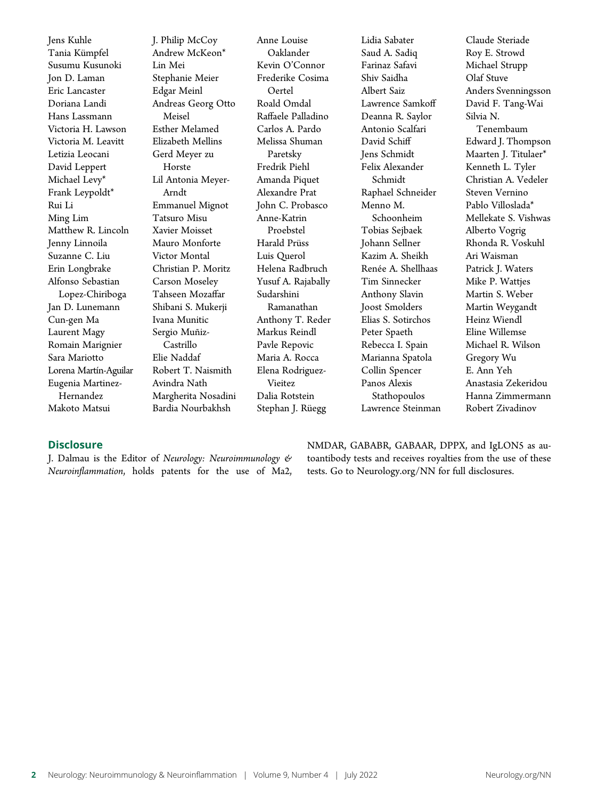Jens Kuhle Tania Kümpfel Susumu Kusunoki Jon D. Laman Eric Lancaster Doriana Landi Hans Lassmann Victoria H. Lawson Victoria M. Leavitt Letizia Leocani David Leppert Michael Levy\* Frank Leypoldt\* Rui Li Ming Lim Matthew R. Lincoln Jenny Linnoila Suzanne C. Liu Erin Longbrake Alfonso Sebastian Lopez-Chiriboga Jan D. Lunemann Cun-gen Ma Laurent Magy Romain Marignier Sara Mariotto Lorena Martín-Aguilar Eugenia Martinez-Hernandez Makoto Matsui

J. Philip McCoy Andrew McKeon\* Lin Mei Stephanie Meier Edgar Meinl Andreas Georg Otto Meisel Esther Melamed Elizabeth Mellins Gerd Meyer zu Horste Lil Antonia Meyer-Arndt Emmanuel Mignot Tatsuro Misu Xavier Moisset Mauro Monforte Victor Montal Christian P. Moritz Carson Moseley Tahseen Mozaffar Shibani S. Mukerji Ivana Munitic Sergio Muñiz-Castrillo Elie Naddaf Robert T. Naismith Avindra Nath Margherita Nosadini Bardia Nourbakhsh

Anne Louise Oaklander Kevin O'Connor Frederike Cosima Oertel Roald Omdal Raffaele Palladino Carlos A. Pardo Melissa Shuman Paretsky Fredrik Piehl Amanda Piquet Alexandre Prat John C. Probasco Anne-Katrin Proebstel Harald Prüss Luis Querol Helena Radbruch Yusuf A. Rajabally Sudarshini Ramanathan Anthony T. Reder Markus Reindl Pavle Repovic Maria A. Rocca Elena Rodriguez-Vieitez Dalia Rotstein Stephan J. Rüegg

Lidia Sabater Saud A. Sadiq Farinaz Safavi Shiv Saidha Albert Saiz Lawrence Samkoff Deanna R. Saylor Antonio Scalfari David Schiff Jens Schmidt Felix Alexander Schmidt Raphael Schneider Menno M. Schoonheim Tobias Sejbaek Johann Sellner Kazim A. Sheikh Renée A. Shellhaas Tim Sinnecker Anthony Slavin Joost Smolders Elias S. Sotirchos Peter Spaeth Rebecca I. Spain Marianna Spatola Collin Spencer Panos Alexis Stathopoulos Lawrence Steinman Claude Steriade Roy E. Strowd Michael Strupp Olaf Stuve Anders Svenningsson David F. Tang-Wai Silvia N. Tenembaum Edward J. Thompson Maarten J. Titulaer\* Kenneth L. Tyler Christian A. Vedeler Steven Vernino Pablo Villoslada\* Mellekate S. Vishwas Alberto Vogrig Rhonda R. Voskuhl Ari Waisman Patrick J. Waters Mike P. Wattjes Martin S. Weber Martin Weygandt Heinz Wiendl Eline Willemse Michael R. Wilson Gregory Wu E. Ann Yeh Anastasia Zekeridou Hanna Zimmermann Robert Zivadinov

## **Disclosure**

J. Dalmau is the Editor of Neurology: Neuroimmunology & Neuroinflammation, holds patents for the use of Ma2, NMDAR, GABABR, GABAAR, DPPX, and IgLON5 as autoantibody tests and receives royalties from the use of these tests. Go to [Neurology.org/NN](https://nn.neurology.org/content/9/4/e176/tab-article-info) for full disclosures.